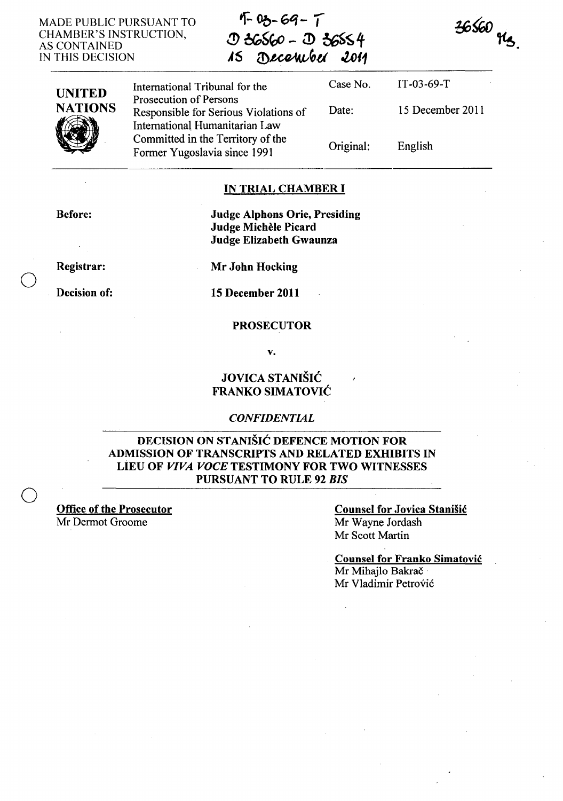MADE PUBLIC PURSUANT TO CHAMBER'S INSTRUCTION, AS CONTAINED<br>IN THIS DECISION

 $F - 03 - 69 - 7$ 0 36560 - 0 36554<br>15 December 2019 IN THIS DECISION **AS** l!)~~tI *.tD11* 



| <b>UNITED</b><br><b>NATIONS</b> | International Tribunal for the                                                                           | Case No.  | $IT-03-69-T$     |
|---------------------------------|----------------------------------------------------------------------------------------------------------|-----------|------------------|
|                                 | <b>Prosecution of Persons</b><br>Responsible for Serious Violations of<br>International Humanitarian Law | Date:     | 15 December 2011 |
|                                 | Committed in the Territory of the<br>Former Yugoslavia since 1991                                        | Original: | English          |

#### **IN TRIAL CHAMBER I**

**Before:** 

**Judge Alphons Orie, Presiding Judge Michele Picard Judge Elizabeth Gwaunza** 

**Registrar:** 

o

o

**Mr John Hocking** 

**Decision of: 15 December 2011** 

#### **PROSECUTOR**

v.

### **JOVICA ST ANISIC FRANKO SIMATOVIC**

*CONFIDENTIAL* 

### **DECISION ON STANISIC DEFENCE MOTION FOR ADMISSION OF TRANSCRIPTS AND RELATED EXHIBITS IN LiEU OF** *VIVA VOCE* **TESTIMONY FOR TWO WITNESSES PURSUANT TO RULE 92** *BIS*

**Office of the Prosecutor**  Mr Dermot Groome

**Counsel for Jovica Stanisic**  Mr Wayne Jordash Mr Scott Martin

**Counsel for Franko Simatovic**  Mr Mihajlo Bakrač Mr Vladimir Petrović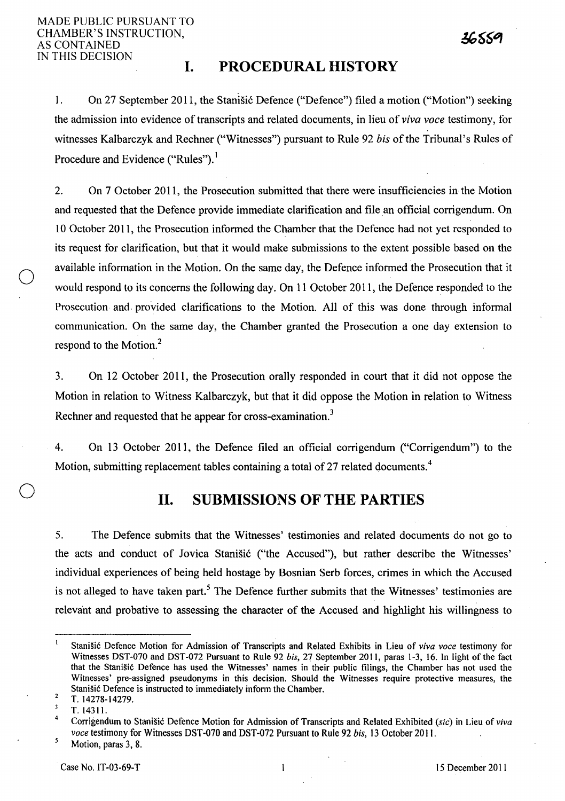o

o

## **I. PROCEDURAL HISTORY**

1. On 27 September 2011, the Stanistic Defence ("Defence") filed a motion ("Motion") seeking the admission into evidence of transcripts and related documents, in lieu of *viva voce* testimony, for witnesses Kalbarczyk and Rechner ("Witnesses") pursuant to Rule 92 *his* of the Tribunal's Rules of Procedure and Evidence ("Rules").<sup>1</sup>

2. On 7 October 2011, the Prosecution submitted that there were insufficiencies in the Motion and requested that the Defence provide immediate clarification and file an official corrigendum. On 10 October 2011, the Prosecution informed the Chamber that the Defence had not yet responded to its request for clarification, but that it would make submissions to the extent possible based on the available information in the Motion. On the same day, the Defence informed the Prosecution that it would respond to its concerns the following day. On 11 October 2011, the Defence responded to the Prosecution and. provided clarifications to the Motion. All of this was done through informal communication. On the same day, the Chamber granted the Prosecution a one day extension to respond to the Motion.<sup>2</sup>

3. On 12 October 2011, the Prosecution orally responded in court that it did not oppose the Motion in relation to Witness Kalbarczyk, but that it did oppose the Motion in relation to Witness Rechner and requested that he appear for cross-examination.<sup>3</sup>

4. On 13 October 2011, the Defence filed an official corrigendum ("Corrigendum") to the Motion, submitting replacement tables containing a total of 27 related documents.<sup>4</sup>

# **11. SUBMISSIONS OF THE PARTIES**

5. The Defence submits that the Witnesses' testimonies and related documents do not go to the acts and conduct of Jovica Stanisić ("the Accused"), but rather describe the Witnesses' individual experiences of being held hostage by Bosnian Serb forces, crimes in which the Accused is not alleged to have taken part.<sup>5</sup> The Defence further submits that the Witnesses' testimonies are relevant and probative to assessing the character of the Accused and highlight his willingness to

46889

Stanišić Defence Motion for Admission of Transcripts and Related Exhibits in Lieu of *viva voce* testimony for Witnesses DST -070 and DST -072 Pursuant to Rule 92 *his,* 27 September 2011, paras 1-3, 16. In light of the fact that the Stanišić Defence has used the Witnesses' names in their public filings, the Chamber has not used the Witnesses' pre-assigned pseudonyms in this decision. Should the Witnesses require protective measures, the Stanišić Defence is instructed to immediately inform the Chamber.

 $\overline{2}$ T.14278-I4279.

 $\overline{\mathbf{3}}$ T. 14311.

<sup>4</sup>  Corrigendum to Stani§ic Defence Motion for Admission of Transcripts and Related Exhibited *(sic)* in Lieu of *viva voce* testimony for Witnesses DST ·070 and DST ·072 Pursuant to Rule 92 *bis,* 13 October 2011.  $\mathfrak{s}$ 

Motion, paras 3, 8.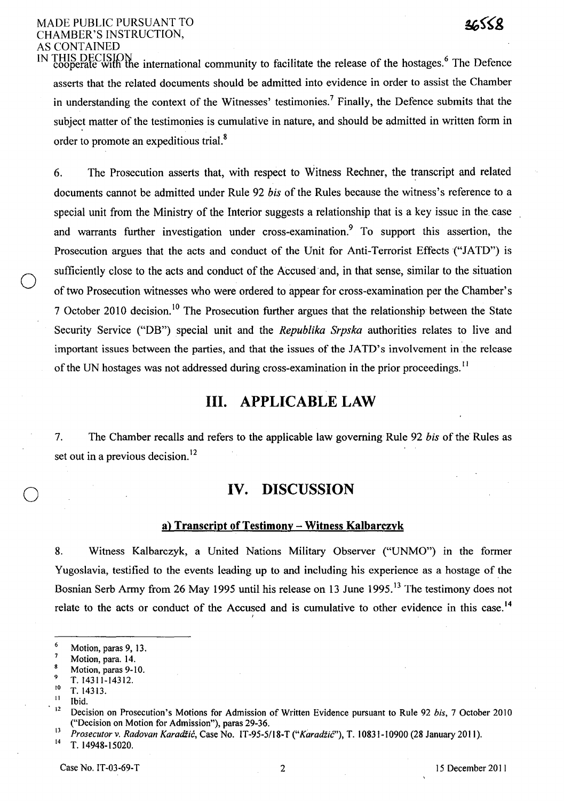IN THIS DECISION<br>cooperate with the international community to facilitate the release of the hostages.<sup>6</sup> The Defence asserts that the related documents should be admitted into evidence in order to assist the Chamber in understanding the context of the Witnesses' testimonies.<sup>7</sup> Finally, the Defence submits that the subject matter of the testimonies is cumulative in nature, and should be admitted in written form in order to promote an expeditious trial.<sup>8</sup>

6. The Prosecution asserts that, with respect to Witness Rechner, the transcript and related documents cannot be admitted under Rule 92 *bis* of the Rules because the witness's reference to a special unit from the Ministry of the Interior suggests a relationship that is a key issue in the case and warrants further investigation under cross-examination.<sup>9</sup> To support this assertion, the Prosecution argues that the acts and conduct of the Unit for Anti-Terrorist Effects ("JATD") is sufficiently close to the acts and conduct of the Accused and, in that sense, similar to the situation of two Prosecution witnesses who were ordered to appear for cross-examination per the Chamber's 7 October 2010 decision.<sup>10</sup> The Prosecution further argues that the relationship between the State Security Service ("DB") special unit and the *Repub/ika Srpska* authorities relates to live and important issues between the parties, and that the issues of the JATD's involvement in the release of the UN hostages was not addressed during cross-examination in the prior proceedings.<sup>11</sup>

## **Ill. APPLICABLE LAW**

7. The Chamber recalls and refers to the applicable law governing Rule 92 *bis* of the Rules as set out in a previous decision.<sup>12</sup>

# o **IV. DISCUSSION**

#### **a) Transcript of Testimony - Witness Kalbarczyk**

8. Witness Kalbarczyk, a United Nations Military Observer ("UNMO") in the former Yugoslavia, testified to the events leading up to and including his experience as a hostage of the Bosnian Serb Army from 26 May 1995 until his release on 13 June 1995.<sup>13</sup> The testimony does not relate to the acts or conduct of the Accused and is cumulative to other evidence in this case.<sup>14</sup>

o

14 T.14948-15020.

 $\frac{6}{7}$  Motion, paras 9, 13.

Motion, para. 14.

<sup>8</sup> Motion, paras 9-10.

 $\frac{9}{10}$  T. 14311-14312.

 $\frac{10}{11}$  T. 14313.

<sup>&</sup>lt;sup>11</sup> Ibid.<br><sup>12</sup> Decision on Prosecution's Motions for Admission of Written Evidence pursuant to Rule 92 *bis*, 7 October 2010 ("Decision on Motion for Admission"), paras 29-36.

<sup>13</sup>*Prosecutor* v. *Radovan Karadiic,* Case No. IT-95-5/18-T *("Karadiic"),* T. 10831-10900 (28 January 2011).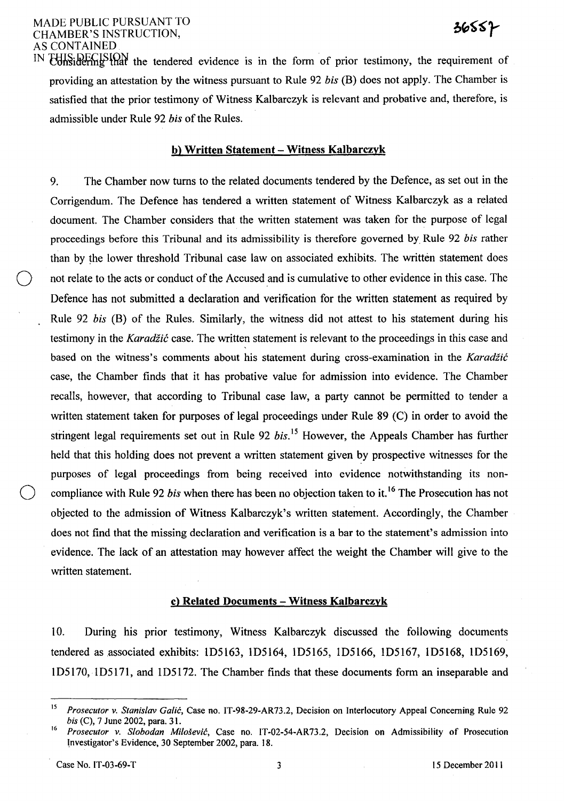IN FUIS: DECISION the tendered evidence is in the form of prior testimony, the requirement of providing an attestation by the witness pursuant to Rule 92 *his* (B) does not apply. The Chamber is satisfied that the prior testimony of Witness Kalbarczyk is relevant and probative and, therefore, is admissible under Rule 92 *his* of the Rules.

#### **b) Written Statement - Witness Kalbarczyk**

9. The Chamber now turns to the related documents tendered by the Defence, as set out in the Corrigendum. The Defence has tendered a written statement of Witness Kalbarczyk as a related document. The Chamber considers that the written statement was taken for the purpose of legal proceedings before this Tribunal and its admissibility is therefore governed by Rule 92 *his* rather than by the lower threshold Tribunal case law on associated exhibits. The written statement does not relate to the acts or conduct of the Accused and is cumulative to other evidence in this case. The Defence has not submitted a declaration and verification for the written statement as required by Rule 92 *his* (B) of the Rules. Similarly, the witness did not attest to his statement during his testimony in the *Karadiic* case. The written statement is relevant to the proceedings in this case and based on the witness's comments about his statement during cross-examination in the *Karadžić* case, the Chamber finds that it has probative value for admission into evidence. The Chamber recalls, however, that according to Tribunal case law, a party cannot be permitted to tender a written statement taken for purposes of legal proceedings under Rule 89 (C) in order to avoid the stringent legal requirements set out in Rule 92 *his*.<sup>15</sup> However, the Appeals Chamber has further held that this holding does not prevent a written statement given by prospective witnesses for the purposes of legal proceedings from being received into evidence notwithstanding its noncompliance with Rule 92 *bis* when there has been no objection taken to it.<sup>16</sup> The Prosecution has not objected to the admission of Witness Kalbarczyk's written statement. Accordingly, the Chamber does not find that the missing declaration and verification is a bar to the statement's admission into evidence. The lack of an attestation may however affect the weight the Chamber will give to the written statement.

#### **c) Related Documents - Witness Kalbarczyk**

10. During his prior testimony, Witness Kalbarczyk discussed the following documents tendered as associated exhibits: 1D5163, 1D5164, 1D5165, 1D5166, 1D5167, 1D5168, 1D5169, 1 D5170, 1 D5171, and 1 D5172. The Chamber finds that these documents form an inseparable and

<sup>15</sup>*Prosecutor* v. *Stanislav Galie,* Case no. IT-98-29-AR73.2, Decision on Interlocutory Appeal Concerning Rule 92 *bis* (C), 7 June 2002, para. 31.

<sup>16</sup>*Prosecutor* v. *Slobodan Milosevie,* Case no. IT-02-54-AR73.2, Decision on Admissibility of Prosecution lnvestigator's Evidence, 30 September 2002, para. 18.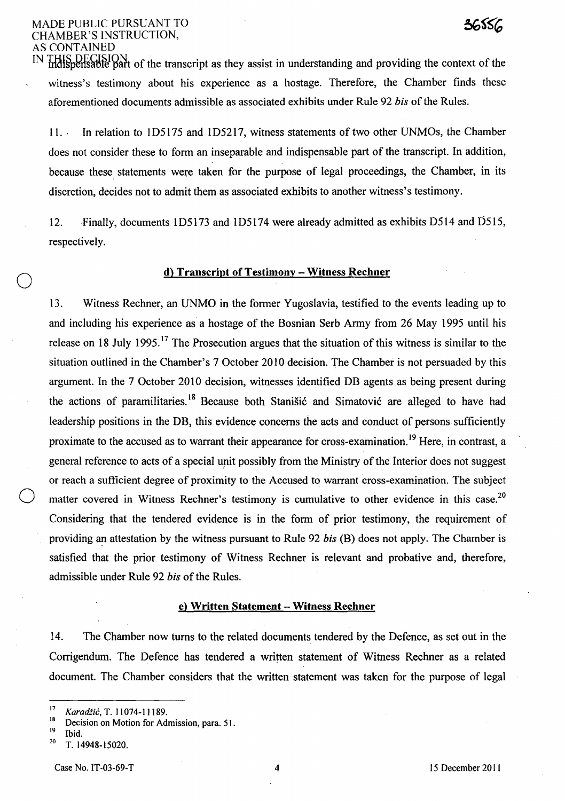## MADE PUBLIC PURSUANT TO CHAMBER'S INSTRUCTION, AS CONTAINED

IN THIS DECISION of the transcript as they assist in understanding and providing the context of the witness's testimony about his experience as a hostage. Therefore, the Chamber finds these aforementioned documents admissible as associated exhibits under Rule 92 *bis* of the Rules.

11. In relation to 1D5175 and 1D5217, witness statements of two other UNMOs, the Chamber does not consider these to form an inseparable and indispensable part of the transcript. In addition, because these, statements were taken for the purpose of legal proceedings, the Chamber, in its discretion, decides not to admit them as associated exhibits to another witness's testimony.

12. Finally, documents ID5173 and ID5174 were already admitted as exhibits D514 and D515, respectively.

#### d) Transcript of Testimony - Witness Rechner

13. Witness Rechner, an UNMO in the former Yugoslavia, testified to the events leading up to and including his experience as a hostage of the Bosnian Serb Army from 26 May 1995 until his release on 18 July 1995.<sup>17</sup> The Prosecution argues that the situation of this witness is similar to the situation outlined in the Chamber's 7 October 2010 decision. The Chamber is not persuaded by this argument. In the 7 October 2010 decision, witnesses identified DB agents as being present during the actions of paramilitaries.<sup>18</sup> Because both Stanišić and Simatović are alleged to have had leadership positions in the DB, this evidence concerns the acts and conduct of persons sufficiently proximate to the accused as to warrant their appearance for cross-examination. 19 Here, in contrast, a general reference to acts of a special unit possibly from the Ministry of the Interior does not suggest or reach a sufficient degree of proximity to the Accused to warrant cross-examination. The subject matter covered in Witness Rechner's testimony is cumulative to other evidence in this case.<sup>20</sup> Considering that the tendered evidence is in the form of prior testimony, the requirement of providing an attestation by the witness pursuant to Rule 92 *bis* (B) does not apply. The Chamber is satisfied that the prior testimony of Witness Rechner is relevant and probative and, therefore, admissible under Rule 92 *bis* of the Rules.

#### e) Written Statement - Witness Rechner

14. The Chamber now turns to the related documents tendered by the Defence, as set out in the Corrigendum. The Defence has tendered a written statement of Witness Rechner as a related document. The Chamber considers that the written statement was taken for the purpose of legal

o

<sup>&</sup>lt;sup>17</sup> *Karadžić*, T. 11074-11189.

<sup>&</sup>lt;sup>18</sup> Decision on Motion for Admission, para. 51.<br><sup>19</sup> List

Ibid.

<sup>20</sup> T. 14948-15020.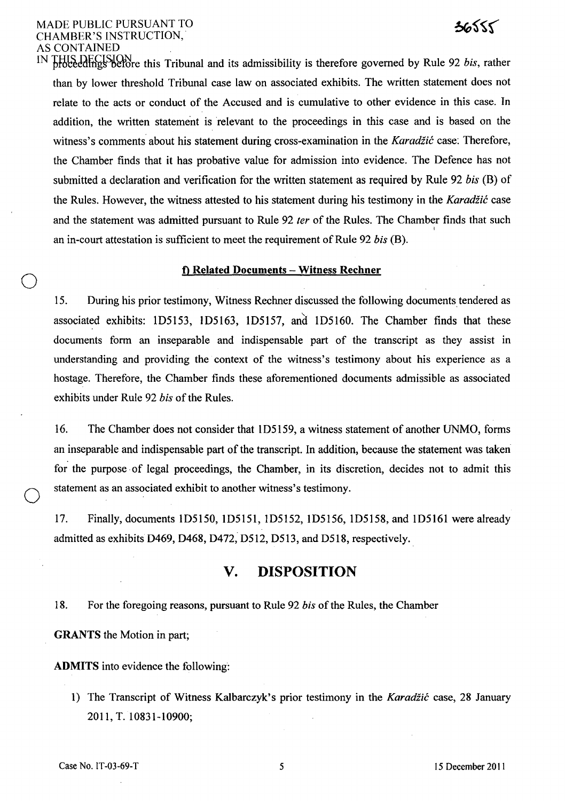### MADE PUBLIC PURSUANT TO CHAMBER'S INSTRUCTION,· AS CONTAINED

o

o

IN THIS DECISION<br>proceedings before this Tribunal and its admissibility is therefore governed by Rule 92 *bis*, rather than by lower threshold Tribunal case law on associated exhibits. The written statement does not relate to the acts or conduct of the Accused and is cumulative to other evidence in this case. In addition, the written statement is relevant to the proceedings in this case and is based on the witness's comments about his statement during cross-examination in the *Karadžić* case: Therefore, the Chamber finds that it has probative value for admission into evidence. The Defence has not submitted a declaration and verification for the written statement as required by Rule 92 *his* (B) of the Rules. However, the witness attested to his statement during his testimony in the *Karadiic* case and the statement was admitted pursuant to Rule 92 ter of the Rules. The Chamber finds that such an in-court attestation is sufficient to meet the requirement of Rule 92 *his (8).* 

#### **o Related Documents - Witness Rechner**

15. During his prior testimony, Witness Rechner discussed the following documents tendered as associated exhibits: 1D5153, 1D5163, 1D5157, and 1D5160. The Chamber finds that these documents form an inseparable and indispensable part of the transcript as they assist in understanding and providing the context of the witness's testimony about his experience as a hostage. Therefore, the Chamber finds these aforementioned documents admissible as associated exhibits under Rule 92 *his* of the Rules.

16. The Chamber does not consider that 105159, a witness statement of another UNMO, forms an inseparable and indispensable part of the transcript. In addition, because the statement was taken for the purpose· of legal proceedings, the Chamber, in its discretion, decides not to admit this statement as an associated exhibit to another witness's testimony.

17. Finally, documents 105150, ID5151, 105152, 105156, 105158, and 105161 were already admitted as exhibits D469, D468, D472, D512, D513, and D518, respectively.

# **v. DISPOSITION**

18. For the foregoing reasons, pursuant to Rule 92 *his* of the Rules, the Chamber

**GRANTS** the Motion in part;

**ADMITS** into evidence the following:

1) The Transcript of Witness Kalbarczyk's prior testimony in the *Karadžić* case, 28 January 2011, T. 10831-10900;